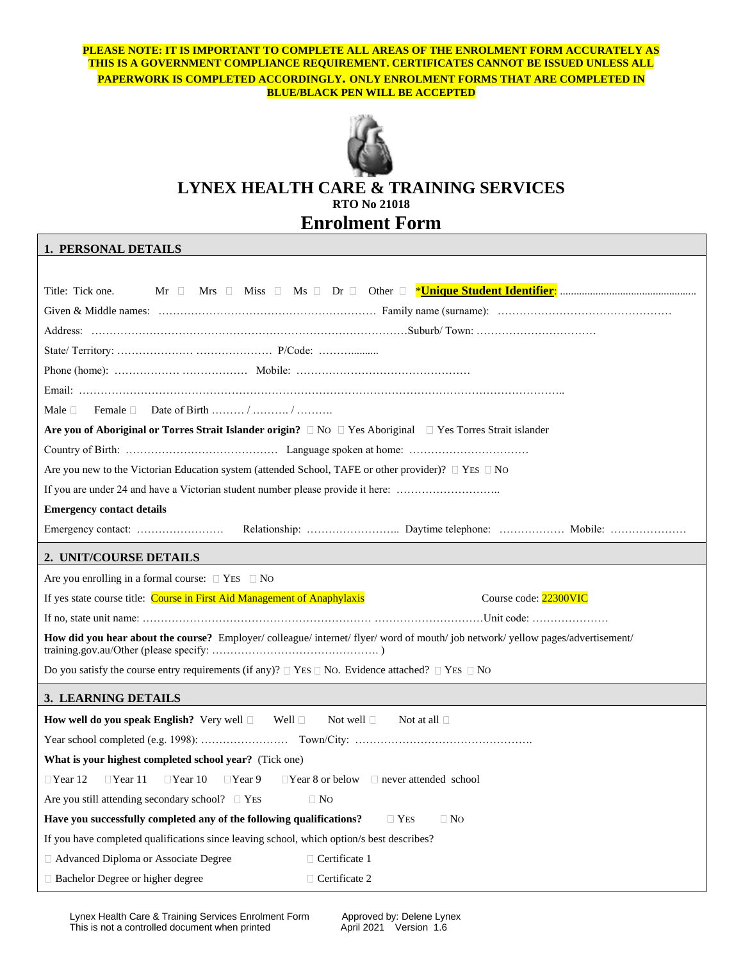**PLEASE NOTE: IT IS IMPORTANT TO COMPLETE ALL AREAS OF THE ENROLMENT FORM ACCURATELY AS THIS IS A GOVERNMENT COMPLIANCE REQUIREMENT. CERTIFICATES CANNOT BE ISSUED UNLESS ALL PAPERWORK IS COMPLETED ACCORDINGLY. ONLY ENROLMENT FORMS THAT ARE COMPLETED IN BLUE/BLACK PEN WILL BE ACCEPTED**



# **LYNEX HEALTH CARE & TRAINING SERVICES RTO No 21018 Enrolment Form**

## **1. PERSONAL DETAILS**

| Title: Tick one.<br>$Mr$ $  $                                                                                              |  |  |  |  |  |
|----------------------------------------------------------------------------------------------------------------------------|--|--|--|--|--|
|                                                                                                                            |  |  |  |  |  |
|                                                                                                                            |  |  |  |  |  |
|                                                                                                                            |  |  |  |  |  |
|                                                                                                                            |  |  |  |  |  |
|                                                                                                                            |  |  |  |  |  |
| Date of Birth / /<br>Male $\Box$<br>Female $\Box$                                                                          |  |  |  |  |  |
| Are you of Aboriginal or Torres Strait Islander origin? $\Box$ No $\Box$ Yes Aboriginal $\Box$ Yes Torres Strait islander  |  |  |  |  |  |
|                                                                                                                            |  |  |  |  |  |
| Are you new to the Victorian Education system (attended School, TAFE or other provider)? $\Box$ YES $\Box$ No              |  |  |  |  |  |
| If you are under 24 and have a Victorian student number please provide it here:                                            |  |  |  |  |  |
| <b>Emergency contact details</b>                                                                                           |  |  |  |  |  |
|                                                                                                                            |  |  |  |  |  |
| 2. UNIT/COURSE DETAILS                                                                                                     |  |  |  |  |  |
| Are you enrolling in a formal course: $\Box$ YES $\Box$ No                                                                 |  |  |  |  |  |
| If yes state course title: Course in First Aid Management of Anaphylaxis<br>Course code: 22300VIC                          |  |  |  |  |  |
|                                                                                                                            |  |  |  |  |  |
| How did you hear about the course? Employer/colleague/internet/flyer/word of mouth/job network/yellow pages/advertisement/ |  |  |  |  |  |
| Do you satisfy the course entry requirements (if any)? $\Box$ YES $\Box$ No. Evidence attached? $\Box$ YES $\Box$ No       |  |  |  |  |  |
| 3. LEARNING DETAILS                                                                                                        |  |  |  |  |  |
| <b>How well do you speak English?</b> Very well $\Box$ Well $\Box$<br>Not well $\Box$<br>Not at all $\square$              |  |  |  |  |  |
|                                                                                                                            |  |  |  |  |  |
| <b>What is your highest completed school year?</b> (Tick one)                                                              |  |  |  |  |  |
| $\Box$ Year 12<br>$\Box$ Year 11<br>$\Box$ Year 10<br>$\Box$ Year 9<br>$\Box$ Year 8 or below $\Box$ never attended school |  |  |  |  |  |
| Are you still attending secondary school? $\Box$ YES<br>$\Box$ No                                                          |  |  |  |  |  |
| Have you successfully completed any of the following qualifications?<br>$\Box$ Yes<br>$\Box$ No                            |  |  |  |  |  |
| If you have completed qualifications since leaving school, which option/s best describes?                                  |  |  |  |  |  |
| □ Advanced Diploma or Associate Degree<br>$\Box$ Certificate 1                                                             |  |  |  |  |  |
| □ Bachelor Degree or higher degree<br>$\Box$ Certificate 2                                                                 |  |  |  |  |  |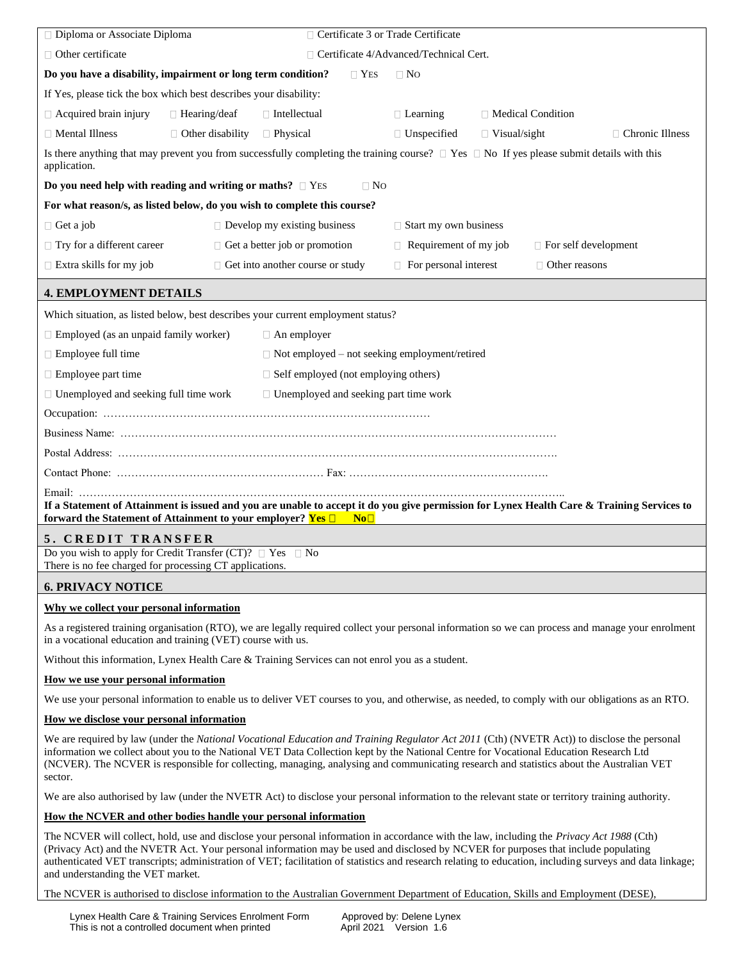| □ Diploma or Associate Diploma                                                                                                                                                                                                                                                                                                                                                                                                               | □ Certificate 3 or Trade Certificate                                                                                                      |                                          |                                                                                                                                                      |  |  |
|----------------------------------------------------------------------------------------------------------------------------------------------------------------------------------------------------------------------------------------------------------------------------------------------------------------------------------------------------------------------------------------------------------------------------------------------|-------------------------------------------------------------------------------------------------------------------------------------------|------------------------------------------|------------------------------------------------------------------------------------------------------------------------------------------------------|--|--|
| $\Box$ Other certificate                                                                                                                                                                                                                                                                                                                                                                                                                     |                                                                                                                                           | □ Certificate 4/Advanced/Technical Cert. |                                                                                                                                                      |  |  |
| Do you have a disability, impairment or long term condition?                                                                                                                                                                                                                                                                                                                                                                                 | $\Box$ Yes                                                                                                                                | $\Box$ No                                |                                                                                                                                                      |  |  |
| If Yes, please tick the box which best describes your disability:                                                                                                                                                                                                                                                                                                                                                                            |                                                                                                                                           |                                          |                                                                                                                                                      |  |  |
| $\Box$ Acquired brain injury<br>$\Box$ Hearing/deaf                                                                                                                                                                                                                                                                                                                                                                                          | $\Box$ Intellectual                                                                                                                       | $\Box$ Learning                          | □ Medical Condition                                                                                                                                  |  |  |
| $\Box$ Mental Illness<br>$\Box$ Other disability                                                                                                                                                                                                                                                                                                                                                                                             | □ Physical                                                                                                                                | $\Box$ Unspecified                       | $\Box$ Chronic Illness<br>$\Box$ Visual/sight                                                                                                        |  |  |
| application.                                                                                                                                                                                                                                                                                                                                                                                                                                 |                                                                                                                                           |                                          | Is there anything that may prevent you from successfully completing the training course? $\Box$ Yes $\Box$ No If yes please submit details with this |  |  |
| Do you need help with reading and writing or maths? $\Box$ YES                                                                                                                                                                                                                                                                                                                                                                               | $\Box$ No                                                                                                                                 |                                          |                                                                                                                                                      |  |  |
| For what reason/s, as listed below, do you wish to complete this course?                                                                                                                                                                                                                                                                                                                                                                     |                                                                                                                                           |                                          |                                                                                                                                                      |  |  |
| $\Box$ Get a job                                                                                                                                                                                                                                                                                                                                                                                                                             | $\Box$ Develop my existing business                                                                                                       | $\Box$ Start my own business             |                                                                                                                                                      |  |  |
| $\Box$ Try for a different career                                                                                                                                                                                                                                                                                                                                                                                                            | $\Box$ Get a better job or promotion                                                                                                      | $\Box$ Requirement of my job             | $\Box$ For self development                                                                                                                          |  |  |
| $\Box$ Extra skills for my job                                                                                                                                                                                                                                                                                                                                                                                                               | □ Get into another course or study                                                                                                        | $\Box$ For personal interest             | $\Box$ Other reasons                                                                                                                                 |  |  |
| <b>4. EMPLOYMENT DETAILS</b>                                                                                                                                                                                                                                                                                                                                                                                                                 |                                                                                                                                           |                                          |                                                                                                                                                      |  |  |
|                                                                                                                                                                                                                                                                                                                                                                                                                                              | Which situation, as listed below, best describes your current employment status?                                                          |                                          |                                                                                                                                                      |  |  |
| $\Box$ Employed (as an unpaid family worker)                                                                                                                                                                                                                                                                                                                                                                                                 | $\Box$ An employer                                                                                                                        |                                          |                                                                                                                                                      |  |  |
| $\Box$ Employee full time                                                                                                                                                                                                                                                                                                                                                                                                                    | $\Box$ Not employed – not seeking employment/retired                                                                                      |                                          |                                                                                                                                                      |  |  |
| $\Box$ Employee part time<br>$\Box$ Self employed (not employing others)                                                                                                                                                                                                                                                                                                                                                                     |                                                                                                                                           |                                          |                                                                                                                                                      |  |  |
| $\Box$ Unemployed and seeking full time work                                                                                                                                                                                                                                                                                                                                                                                                 | $\Box$ Unemployed and seeking part time work                                                                                              |                                          |                                                                                                                                                      |  |  |
|                                                                                                                                                                                                                                                                                                                                                                                                                                              |                                                                                                                                           |                                          |                                                                                                                                                      |  |  |
|                                                                                                                                                                                                                                                                                                                                                                                                                                              |                                                                                                                                           |                                          |                                                                                                                                                      |  |  |
|                                                                                                                                                                                                                                                                                                                                                                                                                                              |                                                                                                                                           |                                          |                                                                                                                                                      |  |  |
|                                                                                                                                                                                                                                                                                                                                                                                                                                              |                                                                                                                                           |                                          |                                                                                                                                                      |  |  |
| If a Statement of Attainment is issued and you are unable to accept it do you give permission for Lynex Health Care & Training Services to<br>forward the Statement of Attainment to your employer? Yes $\square$<br>No <sub>1</sub>                                                                                                                                                                                                         |                                                                                                                                           |                                          |                                                                                                                                                      |  |  |
| 5. CREDIT TRANSFER                                                                                                                                                                                                                                                                                                                                                                                                                           |                                                                                                                                           |                                          |                                                                                                                                                      |  |  |
| Do you wish to apply for Credit Transfer (CT)? $\Box$ Yes $\Box$ No<br>There is no fee charged for processing CT applications.                                                                                                                                                                                                                                                                                                               |                                                                                                                                           |                                          |                                                                                                                                                      |  |  |
| <b>6. PRIVACY NOTICE</b>                                                                                                                                                                                                                                                                                                                                                                                                                     |                                                                                                                                           |                                          |                                                                                                                                                      |  |  |
| Why we collect your personal information                                                                                                                                                                                                                                                                                                                                                                                                     |                                                                                                                                           |                                          |                                                                                                                                                      |  |  |
| in a vocational education and training (VET) course with us.                                                                                                                                                                                                                                                                                                                                                                                 |                                                                                                                                           |                                          | As a registered training organisation (RTO), we are legally required collect your personal information so we can process and manage your enrolment   |  |  |
|                                                                                                                                                                                                                                                                                                                                                                                                                                              | Without this information, Lynex Health Care & Training Services can not enrol you as a student.                                           |                                          |                                                                                                                                                      |  |  |
| <u>How we use your personal information</u>                                                                                                                                                                                                                                                                                                                                                                                                  |                                                                                                                                           |                                          |                                                                                                                                                      |  |  |
|                                                                                                                                                                                                                                                                                                                                                                                                                                              |                                                                                                                                           |                                          | We use your personal information to enable us to deliver VET courses to you, and otherwise, as needed, to comply with our obligations as an RTO.     |  |  |
| How we disclose your personal information                                                                                                                                                                                                                                                                                                                                                                                                    |                                                                                                                                           |                                          |                                                                                                                                                      |  |  |
| We are required by law (under the National Vocational Education and Training Regulator Act 2011 (Cth) (NVETR Act)) to disclose the personal<br>information we collect about you to the National VET Data Collection kept by the National Centre for Vocational Education Research Ltd<br>(NCVER). The NCVER is responsible for collecting, managing, analysing and communicating research and statistics about the Australian VET<br>sector. |                                                                                                                                           |                                          |                                                                                                                                                      |  |  |
|                                                                                                                                                                                                                                                                                                                                                                                                                                              |                                                                                                                                           |                                          | We are also authorised by law (under the NVETR Act) to disclose your personal information to the relevant state or territory training authority.     |  |  |
| How the NCVER and other bodies handle your personal information                                                                                                                                                                                                                                                                                                                                                                              |                                                                                                                                           |                                          |                                                                                                                                                      |  |  |
|                                                                                                                                                                                                                                                                                                                                                                                                                                              | The NCVER will collect, hold, use and disclose your personal information in accordance with the law, including the Privacy Act 1988 (Cth) |                                          |                                                                                                                                                      |  |  |

(Privacy Act) and the NVETR Act. Your personal information may be used and disclosed by NCVER for purposes that include populating authenticated VET transcripts; administration of VET; facilitation of statistics and research relating to education, including surveys and data linkage; and understanding the VET market.

The NCVER is authorised to disclose information to the Australian Government Department of Education, Skills and Employment (DESE),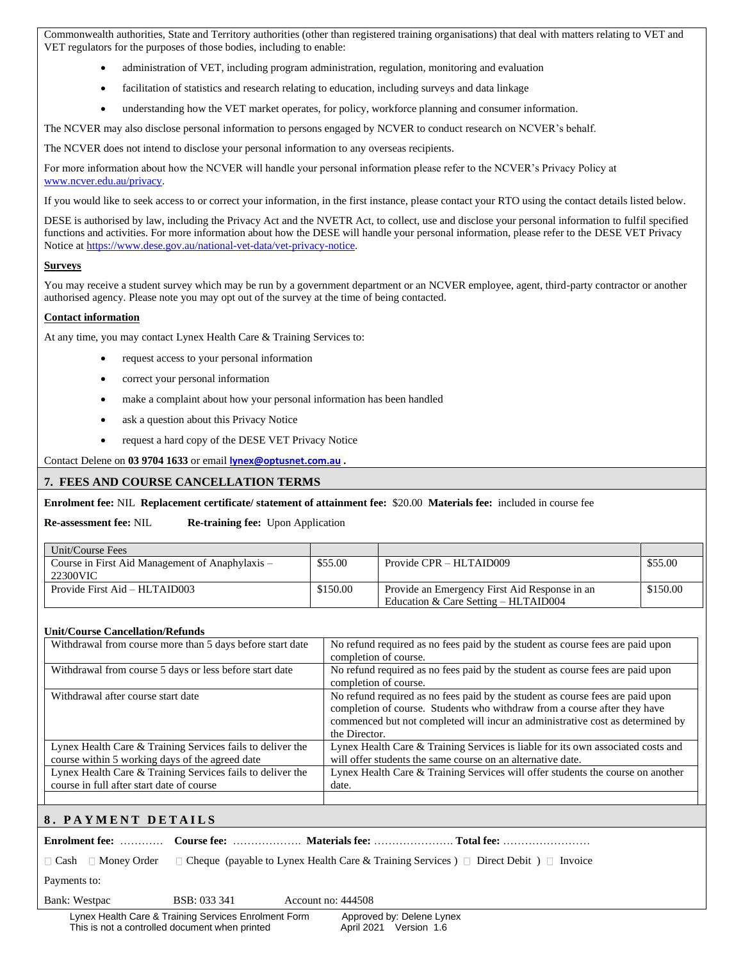Commonwealth authorities, State and Territory authorities (other than registered training organisations) that deal with matters relating to VET and VET regulators for the purposes of those bodies, including to enable:

- administration of VET, including program administration, regulation, monitoring and evaluation
- facilitation of statistics and research relating to education, including surveys and data linkage
- understanding how the VET market operates, for policy, workforce planning and consumer information.

The NCVER may also disclose personal information to persons engaged by NCVER to conduct research on NCVER's behalf.

The NCVER does not intend to disclose your personal information to any overseas recipients.

For more information about how the NCVER will handle your personal information please refer to the NCVER's Privacy Policy at [www.ncver.edu.au/privacy.](http://www.ncver.edu.au/privacy)

If you would like to seek access to or correct your information, in the first instance, please contact your RTO using the contact details listed below.

DESE is authorised by law, including the Privacy Act and the NVETR Act, to collect, use and disclose your personal information to fulfil specified functions and activities. For more information about how the DESE will handle your personal information, please refer to the DESE VET Privacy Notice a[t https://www.dese.gov.au/national-vet-data/vet-privacy-notice.](https://www.dese.gov.au/national-vet-data/vet-privacy-notice)

### **Surveys**

You may receive a student survey which may be run by a government department or an NCVER employee, agent, third-party contractor or another authorised agency. Please note you may opt out of the survey at the time of being contacted.

### **Contact information**

At any time, you may contact Lynex Health Care & Training Services to:

- request access to your personal information
- correct your personal information
- make a complaint about how your personal information has been handled
- ask a question about this Privacy Notice
- request a hard copy of the DESE VET Privacy Notice

Contact Delene on **03 9704 1633** or email **[lynex@optusnet.com.au](mailto:lynex@optusnet.com.au) .**

### **7. FEES AND COURSE CANCELLATION TERMS**

**Enrolment fee:** NIL **Replacement certificate/ statement of attainment fee:** \$20.00 **Materials fee:** included in course fee

**Re-assessment fee:** NIL **Re-training fee:** Upon Application

| Unit/Course Fees                                            |          |                                                                                         |          |
|-------------------------------------------------------------|----------|-----------------------------------------------------------------------------------------|----------|
| Course in First Aid Management of Anaphylaxis –<br>22300VIC | \$55.00  | Provide CPR – HLTAID009                                                                 | \$55.00  |
| Provide First Aid – HLTAID003                               | \$150.00 | Provide an Emergency First Aid Response in an<br>Education & Care Setting $-$ HLTAID004 | \$150.00 |

#### **Unit/Course Cancellation/Refunds**

| Withdrawal from course more than 5 days before start date                                                     | No refund required as no fees paid by the student as course fees are paid upon                                                                              |
|---------------------------------------------------------------------------------------------------------------|-------------------------------------------------------------------------------------------------------------------------------------------------------------|
|                                                                                                               | completion of course.                                                                                                                                       |
| Withdrawal from course 5 days or less before start date                                                       | No refund required as no fees paid by the student as course fees are paid upon                                                                              |
|                                                                                                               | completion of course.                                                                                                                                       |
| Withdrawal after course start date                                                                            | No refund required as no fees paid by the student as course fees are paid upon<br>completion of course. Students who withdraw from a course after they have |
|                                                                                                               | commenced but not completed will incur an administrative cost as determined by                                                                              |
|                                                                                                               | the Director.                                                                                                                                               |
| Lynex Health Care & Training Services fails to deliver the<br>course within 5 working days of the agreed date | Lynex Health Care & Training Services is liable for its own associated costs and<br>will offer students the same course on an alternative date.             |
| Lynex Health Care & Training Services fails to deliver the                                                    | Lynex Health Care & Training Services will offer students the course on another                                                                             |
| course in full after start date of course                                                                     | date.                                                                                                                                                       |
|                                                                                                               |                                                                                                                                                             |

### **8 . P A Y M E N T D E T A I L S**

**Enrolment fee:** ………… **Course fee:** ………………. **Materials fee:** …………………. **Total fee:** ……………………

 $\Box$  Cash  $\Box$  Money Order  $\Box$  Cheque (payable to Lynex Health Care & Training Services )  $\Box$  Direct Debit )  $\Box$  Invoice

Payments to:

Bank: Westpac BSB: 033 341 Account no: 444508